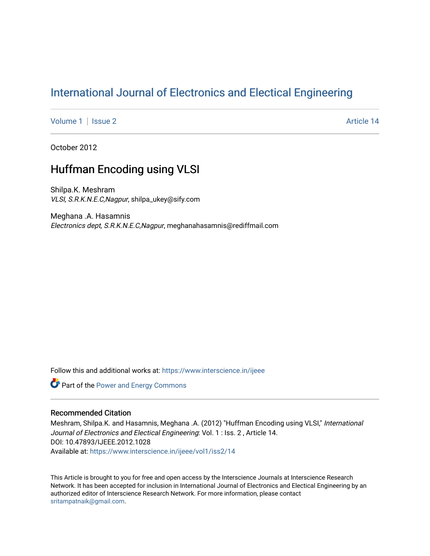# [International Journal of Electronics and Electical Engineering](https://www.interscience.in/ijeee)

[Volume 1](https://www.interscience.in/ijeee/vol1) | [Issue 2](https://www.interscience.in/ijeee/vol1/iss2) Article 14

October 2012

# Huffman Encoding using VLSI

Shilpa.K. Meshram VLSI, S.R.K.N.E.C,Nagpur, shilpa\_ukey@sify.com

Meghana .A. Hasamnis Electronics dept, S.R.K.N.E.C,Nagpur, meghanahasamnis@rediffmail.com

Follow this and additional works at: [https://www.interscience.in/ijeee](https://www.interscience.in/ijeee?utm_source=www.interscience.in%2Fijeee%2Fvol1%2Fiss2%2F14&utm_medium=PDF&utm_campaign=PDFCoverPages)

Part of the [Power and Energy Commons](http://network.bepress.com/hgg/discipline/274?utm_source=www.interscience.in%2Fijeee%2Fvol1%2Fiss2%2F14&utm_medium=PDF&utm_campaign=PDFCoverPages) 

# Recommended Citation

Meshram, Shilpa.K. and Hasamnis, Meghana .A. (2012) "Huffman Encoding using VLSI," International Journal of Electronics and Electical Engineering: Vol. 1 : Iss. 2 , Article 14. DOI: 10.47893/IJEEE.2012.1028 Available at: [https://www.interscience.in/ijeee/vol1/iss2/14](https://www.interscience.in/ijeee/vol1/iss2/14?utm_source=www.interscience.in%2Fijeee%2Fvol1%2Fiss2%2F14&utm_medium=PDF&utm_campaign=PDFCoverPages)

This Article is brought to you for free and open access by the Interscience Journals at Interscience Research Network. It has been accepted for inclusion in International Journal of Electronics and Electical Engineering by an authorized editor of Interscience Research Network. For more information, please contact [sritampatnaik@gmail.com](mailto:sritampatnaik@gmail.com).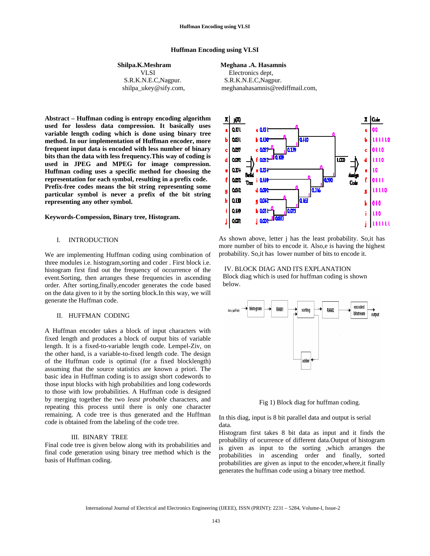#### **Huffman Encoding using VLSI**

# **Shilpa.K.Meshram Meghana .A. Hasamnis**

VLSI Electronics dept, S.R.K.N.E.C,Nagpur. S.R.K.N.E.C,Nagpur.

shilpa\_ukey@sify.com, meghanahasamnis@rediffmail.com,

**Abstract – Huffman coding is entropy encoding algorithm used for lossless data compression. It basically uses variable length coding which is done using binary tree method. In our implementation of Huffman encoder, more frequent input data is encoded with less number of binary bits than the data with less frequency.This way of coding is used in JPEG and MPEG for image compression. Huffman coding uses a specific method for choosing the representation for each symbol, resulting in a prefix code. Prefix-free codes means the bit string representing some particular symbol is never a prefix of the bit string representing any other symbol.** 

#### **Keywords***-***Compession, Binary tree, Histogram.**

# I. INTRODUCTION

We are implementing Huffman coding using combination of three modules i.e. histogram,sorting and coder . First block i.e. histogram first find out the frequency of occurrence of the event.Sorting, then arranges these frequencies in ascending order. After sorting,finally,encoder generates the code based on the data given to it by the sorting block.In this way, we will generate the Huffman code.

#### II. HUFFMAN CODING

A Huffman encoder takes a block of input characters with fixed length and produces a block of output bits of variable length. It is a fixed-to-variable length code. Lempel-Ziv, on the other hand, is a variable-to-fixed length code. The design of the Huffman code is optimal (for a fixed blocklength) assuming that the source statistics are known a priori. The basic idea in Huffman coding is to assign short codewords to those input blocks with high probabilities and long codewords to those with low probabilities. A Huffman code is designed by merging together the two *least probable* characters, and repeating this process until there is only one character remaining. A code tree is thus generated and the Huffman code is obtained from the labeling of the code tree.

#### III. BINARY TREE

Final code tree is given below along with its probabilities and final code generation using binary tree method which is the basis of Huffman coding.



As shown above, letter j has the least probability. So,it has more number of bits to encode it. Also,e is having the highest probability. So,it has lower number of bits to encode it.

 IV. BLOCK DIAG AND ITS EXPLANATION Block diag which is used for huffman coding is shown below.



Fig 1) Block diag for huffman coding.

In this diag, input is 8 bit parallel data and output is serial data.

Histogram first takes 8 bit data as input and it finds the probability of ocurrence of different data.Output of histogram is given as input to the sorting ,which arranges the probabilities in ascending order and finally, sorted probabilities are given as input to the encoder,where,it finally generates the huffman code using a binary tree method.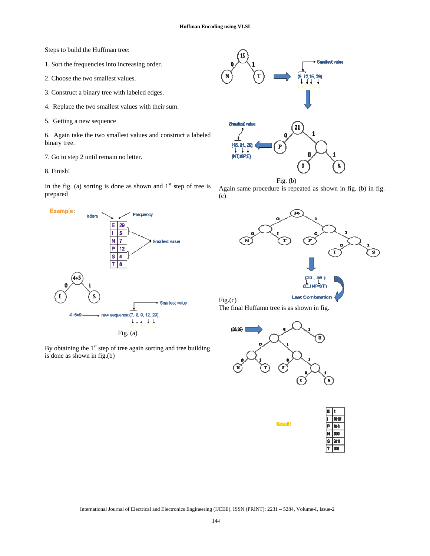Steps to build the Huffman tree:

- 1. Sort the frequencies into increasing order.
- 2. Choose the two smallest values.
- 3. Construct a binary tree with labeled edges.
- 4. Replace the two smallest values with their sum.
- 5. Getting a new sequence

6. Again take the two smallest values and construct a labeled binary tree.

- 7. Go to step 2 until remain no letter.
- 8. Finish!

In the fig. (a) sorting is done as shown and  $1<sup>st</sup>$  step of tree is prepared



By obtaining the  $1<sup>st</sup>$  step of tree again sorting and tree building is done as shown in fig.(b)





Again same procedure is repeated as shown in fig. (b) in fig. (c)



The final Huffamn tree is as shown in fig.



**Result**)